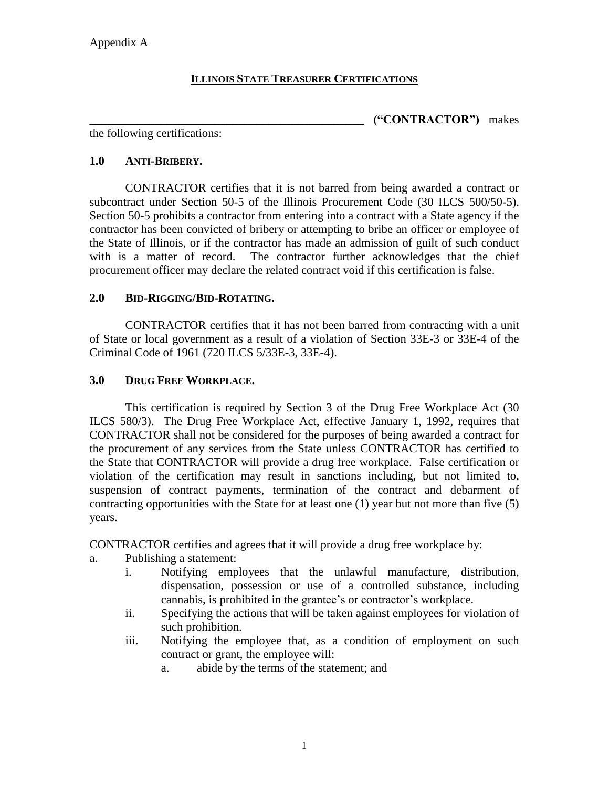## **ILLINOIS STATE TREASURER CERTIFICATIONS**

**\_\_\_\_\_\_\_\_\_\_\_\_\_\_\_\_\_\_\_\_\_\_\_\_\_\_\_\_\_\_\_\_\_\_\_\_\_\_\_\_\_\_\_\_\_\_ ("CONTRACTOR")** makes

the following certifications:

### **1.0 ANTI-BRIBERY.**

CONTRACTOR certifies that it is not barred from being awarded a contract or subcontract under Section 50-5 of the Illinois Procurement Code (30 ILCS 500/50-5). Section 50-5 prohibits a contractor from entering into a contract with a State agency if the contractor has been convicted of bribery or attempting to bribe an officer or employee of the State of Illinois, or if the contractor has made an admission of guilt of such conduct with is a matter of record. The contractor further acknowledges that the chief procurement officer may declare the related contract void if this certification is false.

## **2.0 BID-RIGGING/BID-ROTATING.**

CONTRACTOR certifies that it has not been barred from contracting with a unit of State or local government as a result of a violation of Section 33E-3 or 33E-4 of the Criminal Code of 1961 (720 ILCS 5/33E-3, 33E-4).

### **3.0 DRUG FREE WORKPLACE.**

This certification is required by Section 3 of the Drug Free Workplace Act (30 ILCS 580/3). The Drug Free Workplace Act, effective January 1, 1992, requires that CONTRACTOR shall not be considered for the purposes of being awarded a contract for the procurement of any services from the State unless CONTRACTOR has certified to the State that CONTRACTOR will provide a drug free workplace. False certification or violation of the certification may result in sanctions including, but not limited to, suspension of contract payments, termination of the contract and debarment of contracting opportunities with the State for at least one (1) year but not more than five (5) years.

CONTRACTOR certifies and agrees that it will provide a drug free workplace by:

- a. Publishing a statement:
	- i. Notifying employees that the unlawful manufacture, distribution, dispensation, possession or use of a controlled substance, including cannabis, is prohibited in the grantee's or contractor's workplace.
	- ii. Specifying the actions that will be taken against employees for violation of such prohibition.
	- iii. Notifying the employee that, as a condition of employment on such contract or grant, the employee will:
		- a. abide by the terms of the statement; and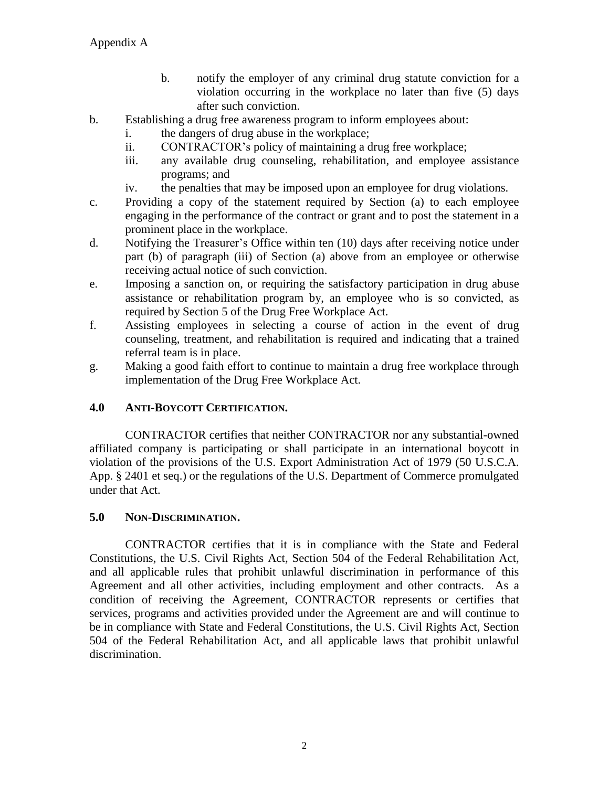- b. notify the employer of any criminal drug statute conviction for a violation occurring in the workplace no later than five (5) days after such conviction.
- b. Establishing a drug free awareness program to inform employees about:
	- i. the dangers of drug abuse in the workplace;
	- ii. CONTRACTOR's policy of maintaining a drug free workplace;
	- iii. any available drug counseling, rehabilitation, and employee assistance programs; and
	- iv. the penalties that may be imposed upon an employee for drug violations.
- c. Providing a copy of the statement required by Section (a) to each employee engaging in the performance of the contract or grant and to post the statement in a prominent place in the workplace.
- d. Notifying the Treasurer's Office within ten (10) days after receiving notice under part (b) of paragraph (iii) of Section (a) above from an employee or otherwise receiving actual notice of such conviction.
- e. Imposing a sanction on, or requiring the satisfactory participation in drug abuse assistance or rehabilitation program by, an employee who is so convicted, as required by Section 5 of the Drug Free Workplace Act.
- f. Assisting employees in selecting a course of action in the event of drug counseling, treatment, and rehabilitation is required and indicating that a trained referral team is in place.
- g. Making a good faith effort to continue to maintain a drug free workplace through implementation of the Drug Free Workplace Act.

# **4.0 ANTI-BOYCOTT CERTIFICATION.**

CONTRACTOR certifies that neither CONTRACTOR nor any substantial-owned affiliated company is participating or shall participate in an international boycott in violation of the provisions of the U.S. Export Administration Act of 1979 (50 U.S.C.A. App. § 2401 et seq.) or the regulations of the U.S. Department of Commerce promulgated under that Act.

## **5.0 NON-DISCRIMINATION.**

CONTRACTOR certifies that it is in compliance with the State and Federal Constitutions, the U.S. Civil Rights Act, Section 504 of the Federal Rehabilitation Act, and all applicable rules that prohibit unlawful discrimination in performance of this Agreement and all other activities, including employment and other contracts. As a condition of receiving the Agreement, CONTRACTOR represents or certifies that services, programs and activities provided under the Agreement are and will continue to be in compliance with State and Federal Constitutions, the U.S. Civil Rights Act, Section 504 of the Federal Rehabilitation Act, and all applicable laws that prohibit unlawful discrimination.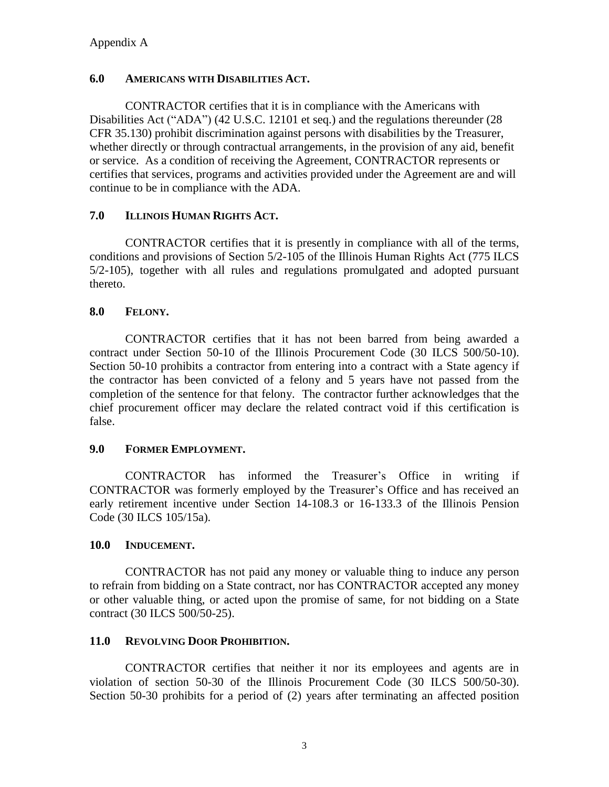### **6.0 AMERICANS WITH DISABILITIES ACT.**

CONTRACTOR certifies that it is in compliance with the Americans with Disabilities Act ("ADA") (42 U.S.C. 12101 et seq.) and the regulations thereunder (28 CFR 35.130) prohibit discrimination against persons with disabilities by the Treasurer, whether directly or through contractual arrangements, in the provision of any aid, benefit or service. As a condition of receiving the Agreement, CONTRACTOR represents or certifies that services, programs and activities provided under the Agreement are and will continue to be in compliance with the ADA.

## **7.0 ILLINOIS HUMAN RIGHTS ACT.**

CONTRACTOR certifies that it is presently in compliance with all of the terms, conditions and provisions of Section 5/2-105 of the Illinois Human Rights Act (775 ILCS 5/2-105), together with all rules and regulations promulgated and adopted pursuant thereto.

## **8.0 FELONY.**

CONTRACTOR certifies that it has not been barred from being awarded a contract under Section 50-10 of the Illinois Procurement Code (30 ILCS 500/50-10). Section 50-10 prohibits a contractor from entering into a contract with a State agency if the contractor has been convicted of a felony and 5 years have not passed from the completion of the sentence for that felony. The contractor further acknowledges that the chief procurement officer may declare the related contract void if this certification is false.

## **9.0 FORMER EMPLOYMENT.**

CONTRACTOR has informed the Treasurer's Office in writing if CONTRACTOR was formerly employed by the Treasurer's Office and has received an early retirement incentive under Section 14-108.3 or 16-133.3 of the Illinois Pension Code (30 ILCS 105/15a).

## **10.0 INDUCEMENT.**

CONTRACTOR has not paid any money or valuable thing to induce any person to refrain from bidding on a State contract, nor has CONTRACTOR accepted any money or other valuable thing, or acted upon the promise of same, for not bidding on a State contract (30 ILCS 500/50-25).

## **11.0 REVOLVING DOOR PROHIBITION.**

CONTRACTOR certifies that neither it nor its employees and agents are in violation of section 50-30 of the Illinois Procurement Code (30 ILCS 500/50-30). Section 50-30 prohibits for a period of (2) years after terminating an affected position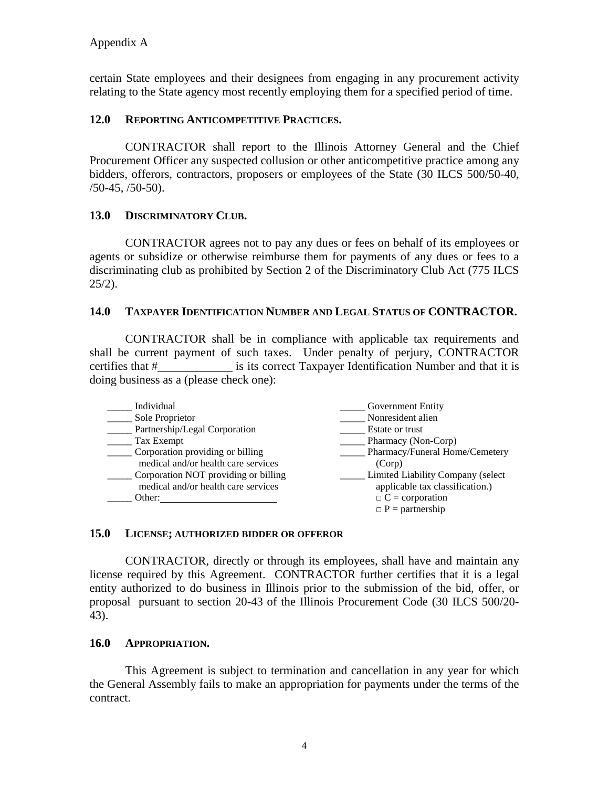certain State employees and their designees from engaging in any procurement activity relating to the State agency most recently employing them for a specified period of time.

### **12.0 REPORTING ANTICOMPETITIVE PRACTICES.**

CONTRACTOR shall report to the Illinois Attorney General and the Chief Procurement Officer any suspected collusion or other anticompetitive practice among any bidders, offerors, contractors, proposers or employees of the State (30 ILCS 500/50-40,  $/50-45, /50-50$ ).

### **13.0 DISCRIMINATORY CLUB.**

CONTRACTOR agrees not to pay any dues or fees on behalf of its employees or agents or subsidize or otherwise reimburse them for payments of any dues or fees to a discriminating club as prohibited by Section 2 of the Discriminatory Club Act (775 ILCS  $25/2$ ).

### **14.0 TAXPAYER IDENTIFICATION NUMBER AND LEGAL STATUS OF CONTRACTOR.**

CONTRACTOR shall be in compliance with applicable tax requirements and shall be current payment of such taxes. Under penalty of perjury, CONTRACTOR certifies that # is its correct Taxpayer Identification Number and that it is doing business as a (please check one):

| Individual                           | <b>Government Entity</b>          |
|--------------------------------------|-----------------------------------|
| Sole Proprietor                      | Nonresident alien                 |
| Partnership/Legal Corporation        | Estate or trust                   |
| Tax Exempt                           | Pharmacy (Non-Corp)               |
| Corporation providing or billing     | Pharmacy/Funeral Home/Cemetery    |
| medical and/or health care services  | (Corp)                            |
| Corporation NOT providing or billing | Limited Liability Company (select |
| medical and/or health care services  | applicable tax classification.)   |
| Other:                               | $\Box$ C = corporation            |
|                                      | $\Box$ P = partnership            |

#### **15.0 LICENSE; AUTHORIZED BIDDER OR OFFEROR**

CONTRACTOR, directly or through its employees, shall have and maintain any license required by this Agreement. CONTRACTOR further certifies that it is a legal entity authorized to do business in Illinois prior to the submission of the bid, offer, or proposal pursuant to section 20-43 of the Illinois Procurement Code (30 ILCS 500/20- 43).

#### **16.0 APPROPRIATION.**

This Agreement is subject to termination and cancellation in any year for which the General Assembly fails to make an appropriation for payments under the terms of the contract.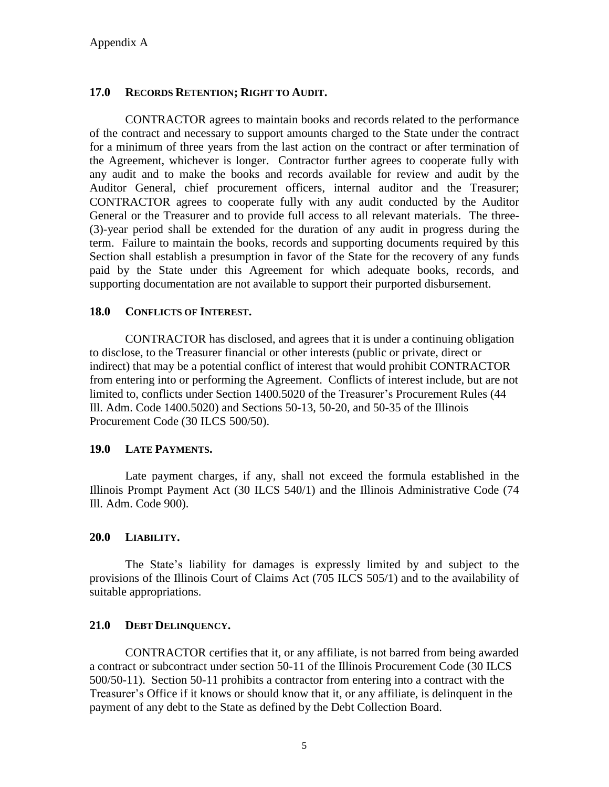### **17.0 RECORDS RETENTION; RIGHT TO AUDIT.**

CONTRACTOR agrees to maintain books and records related to the performance of the contract and necessary to support amounts charged to the State under the contract for a minimum of three years from the last action on the contract or after termination of the Agreement, whichever is longer. Contractor further agrees to cooperate fully with any audit and to make the books and records available for review and audit by the Auditor General, chief procurement officers, internal auditor and the Treasurer; CONTRACTOR agrees to cooperate fully with any audit conducted by the Auditor General or the Treasurer and to provide full access to all relevant materials. The three- (3)-year period shall be extended for the duration of any audit in progress during the term. Failure to maintain the books, records and supporting documents required by this Section shall establish a presumption in favor of the State for the recovery of any funds paid by the State under this Agreement for which adequate books, records, and supporting documentation are not available to support their purported disbursement.

### **18.0 CONFLICTS OF INTEREST.**

CONTRACTOR has disclosed, and agrees that it is under a continuing obligation to disclose, to the Treasurer financial or other interests (public or private, direct or indirect) that may be a potential conflict of interest that would prohibit CONTRACTOR from entering into or performing the Agreement. Conflicts of interest include, but are not limited to, conflicts under Section 1400.5020 of the Treasurer's Procurement Rules (44 Ill. Adm. Code 1400.5020) and Sections 50-13, 50-20, and 50-35 of the Illinois Procurement Code (30 ILCS 500/50).

## **19.0 LATE PAYMENTS.**

Late payment charges, if any, shall not exceed the formula established in the Illinois Prompt Payment Act (30 ILCS 540/1) and the Illinois Administrative Code (74 Ill. Adm. Code 900).

#### **20.0 LIABILITY.**

The State's liability for damages is expressly limited by and subject to the provisions of the Illinois Court of Claims Act (705 ILCS 505/1) and to the availability of suitable appropriations.

#### **21.0 DEBT DELINQUENCY.**

CONTRACTOR certifies that it, or any affiliate, is not barred from being awarded a contract or subcontract under section 50-11 of the Illinois Procurement Code (30 ILCS 500/50-11). Section 50-11 prohibits a contractor from entering into a contract with the Treasurer's Office if it knows or should know that it, or any affiliate, is delinquent in the payment of any debt to the State as defined by the Debt Collection Board.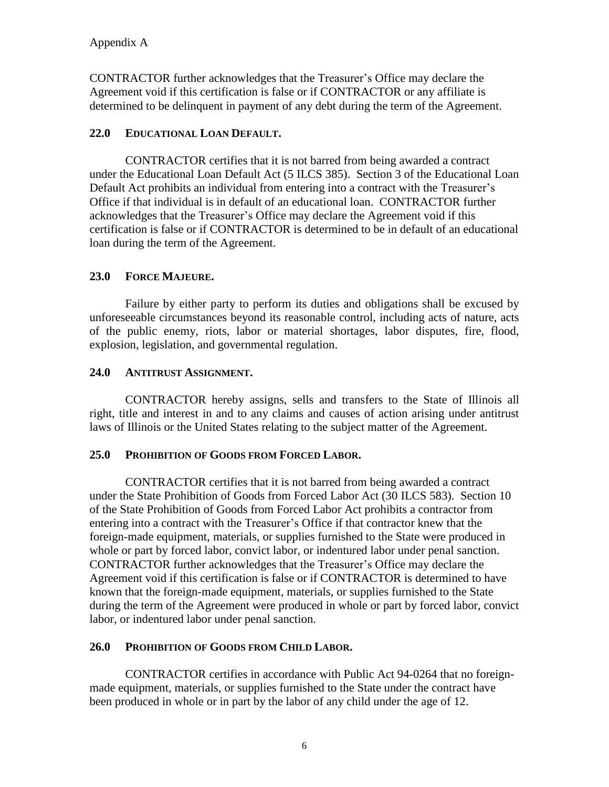CONTRACTOR further acknowledges that the Treasurer's Office may declare the Agreement void if this certification is false or if CONTRACTOR or any affiliate is determined to be delinquent in payment of any debt during the term of the Agreement.

## **22.0 EDUCATIONAL LOAN DEFAULT.**

CONTRACTOR certifies that it is not barred from being awarded a contract under the Educational Loan Default Act (5 ILCS 385). Section 3 of the Educational Loan Default Act prohibits an individual from entering into a contract with the Treasurer's Office if that individual is in default of an educational loan. CONTRACTOR further acknowledges that the Treasurer's Office may declare the Agreement void if this certification is false or if CONTRACTOR is determined to be in default of an educational loan during the term of the Agreement.

# **23.0 FORCE MAJEURE.**

Failure by either party to perform its duties and obligations shall be excused by unforeseeable circumstances beyond its reasonable control, including acts of nature, acts of the public enemy, riots, labor or material shortages, labor disputes, fire, flood, explosion, legislation, and governmental regulation.

## **24.0 ANTITRUST ASSIGNMENT.**

CONTRACTOR hereby assigns, sells and transfers to the State of Illinois all right, title and interest in and to any claims and causes of action arising under antitrust laws of Illinois or the United States relating to the subject matter of the Agreement.

## **25.0 PROHIBITION OF GOODS FROM FORCED LABOR.**

CONTRACTOR certifies that it is not barred from being awarded a contract under the State Prohibition of Goods from Forced Labor Act (30 ILCS 583). Section 10 of the State Prohibition of Goods from Forced Labor Act prohibits a contractor from entering into a contract with the Treasurer's Office if that contractor knew that the foreign-made equipment, materials, or supplies furnished to the State were produced in whole or part by forced labor, convict labor, or indentured labor under penal sanction. CONTRACTOR further acknowledges that the Treasurer's Office may declare the Agreement void if this certification is false or if CONTRACTOR is determined to have known that the foreign-made equipment, materials, or supplies furnished to the State during the term of the Agreement were produced in whole or part by forced labor, convict labor, or indentured labor under penal sanction.

## **26.0 PROHIBITION OF GOODS FROM CHILD LABOR.**

CONTRACTOR certifies in accordance with Public Act 94-0264 that no foreignmade equipment, materials, or supplies furnished to the State under the contract have been produced in whole or in part by the labor of any child under the age of 12.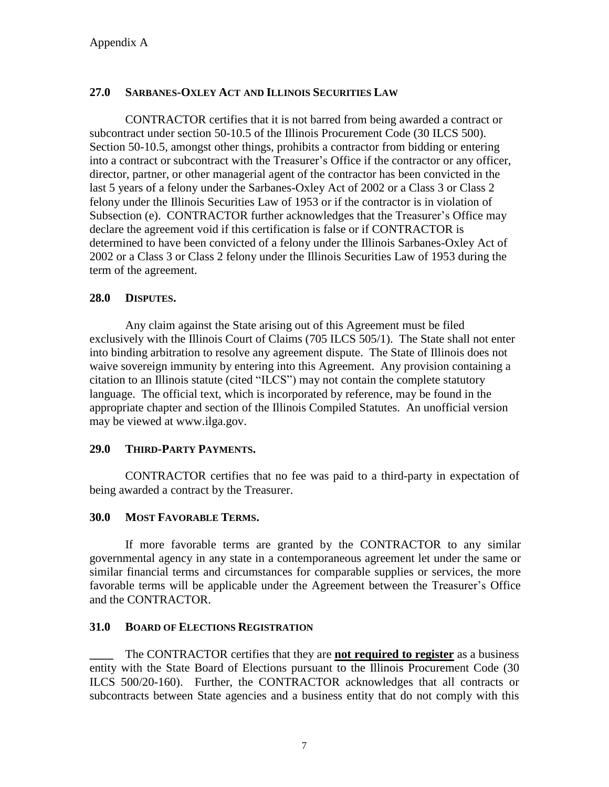# **27.0 SARBANES-OXLEY ACT AND ILLINOIS SECURITIES LAW**

CONTRACTOR certifies that it is not barred from being awarded a contract or subcontract under section 50-10.5 of the Illinois Procurement Code (30 ILCS 500). Section 50-10.5, amongst other things, prohibits a contractor from bidding or entering into a contract or subcontract with the Treasurer's Office if the contractor or any officer, director, partner, or other managerial agent of the contractor has been convicted in the last 5 years of a felony under the Sarbanes-Oxley Act of 2002 or a Class 3 or Class 2 felony under the Illinois Securities Law of 1953 or if the contractor is in violation of Subsection (e). CONTRACTOR further acknowledges that the Treasurer's Office may declare the agreement void if this certification is false or if CONTRACTOR is determined to have been convicted of a felony under the Illinois Sarbanes-Oxley Act of 2002 or a Class 3 or Class 2 felony under the Illinois Securities Law of 1953 during the term of the agreement.

## **28.0 DISPUTES.**

Any claim against the State arising out of this Agreement must be filed exclusively with the Illinois Court of Claims (705 ILCS 505/1). The State shall not enter into binding arbitration to resolve any agreement dispute. The State of Illinois does not waive sovereign immunity by entering into this Agreement. Any provision containing a citation to an Illinois statute (cited "ILCS") may not contain the complete statutory language. The official text, which is incorporated by reference, may be found in the appropriate chapter and section of the Illinois Compiled Statutes. An unofficial version may be viewed at www.ilga.gov.

## **29.0 THIRD-PARTY PAYMENTS.**

CONTRACTOR certifies that no fee was paid to a third-party in expectation of being awarded a contract by the Treasurer.

#### **30.0 MOST FAVORABLE TERMS.**

If more favorable terms are granted by the CONTRACTOR to any similar governmental agency in any state in a contemporaneous agreement let under the same or similar financial terms and circumstances for comparable supplies or services, the more favorable terms will be applicable under the Agreement between the Treasurer's Office and the CONTRACTOR.

#### **31.0 BOARD OF ELECTIONS REGISTRATION**

**\_\_\_\_** The CONTRACTOR certifies that they are **not required to register** as a business entity with the State Board of Elections pursuant to the Illinois Procurement Code (30 ILCS 500/20-160). Further, the CONTRACTOR acknowledges that all contracts or subcontracts between State agencies and a business entity that do not comply with this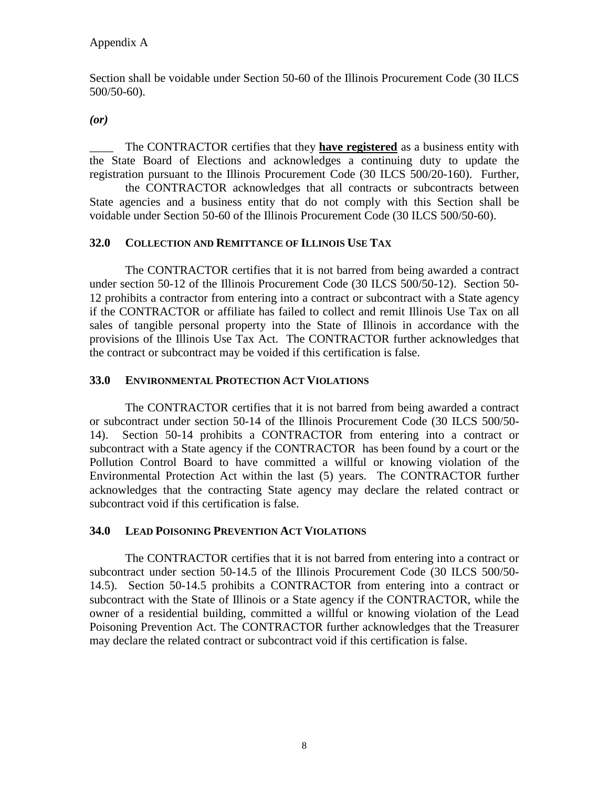Section shall be voidable under Section 50-60 of the Illinois Procurement Code (30 ILCS 500/50-60).

*(or)*

\_\_\_\_ The CONTRACTOR certifies that they **have registered** as a business entity with the State Board of Elections and acknowledges a continuing duty to update the registration pursuant to the Illinois Procurement Code (30 ILCS 500/20-160). Further,

the CONTRACTOR acknowledges that all contracts or subcontracts between State agencies and a business entity that do not comply with this Section shall be voidable under Section 50-60 of the Illinois Procurement Code (30 ILCS 500/50-60).

### **32.0 COLLECTION AND REMITTANCE OF ILLINOIS USE TAX**

The CONTRACTOR certifies that it is not barred from being awarded a contract under section 50-12 of the Illinois Procurement Code (30 ILCS 500/50-12). Section 50- 12 prohibits a contractor from entering into a contract or subcontract with a State agency if the CONTRACTOR or affiliate has failed to collect and remit Illinois Use Tax on all sales of tangible personal property into the State of Illinois in accordance with the provisions of the Illinois Use Tax Act. The CONTRACTOR further acknowledges that the contract or subcontract may be voided if this certification is false.

### **33.0 ENVIRONMENTAL PROTECTION ACT VIOLATIONS**

The CONTRACTOR certifies that it is not barred from being awarded a contract or subcontract under section 50-14 of the Illinois Procurement Code (30 ILCS 500/50- 14). Section 50-14 prohibits a CONTRACTOR from entering into a contract or subcontract with a State agency if the CONTRACTOR has been found by a court or the Pollution Control Board to have committed a willful or knowing violation of the Environmental Protection Act within the last (5) years. The CONTRACTOR further acknowledges that the contracting State agency may declare the related contract or subcontract void if this certification is false.

#### **34.0 LEAD POISONING PREVENTION ACT VIOLATIONS**

The CONTRACTOR certifies that it is not barred from entering into a contract or subcontract under section 50-14.5 of the Illinois Procurement Code (30 ILCS 500/50- 14.5). Section 50-14.5 prohibits a CONTRACTOR from entering into a contract or subcontract with the State of Illinois or a State agency if the CONTRACTOR, while the owner of a residential building, committed a willful or knowing violation of the Lead Poisoning Prevention Act. The CONTRACTOR further acknowledges that the Treasurer may declare the related contract or subcontract void if this certification is false.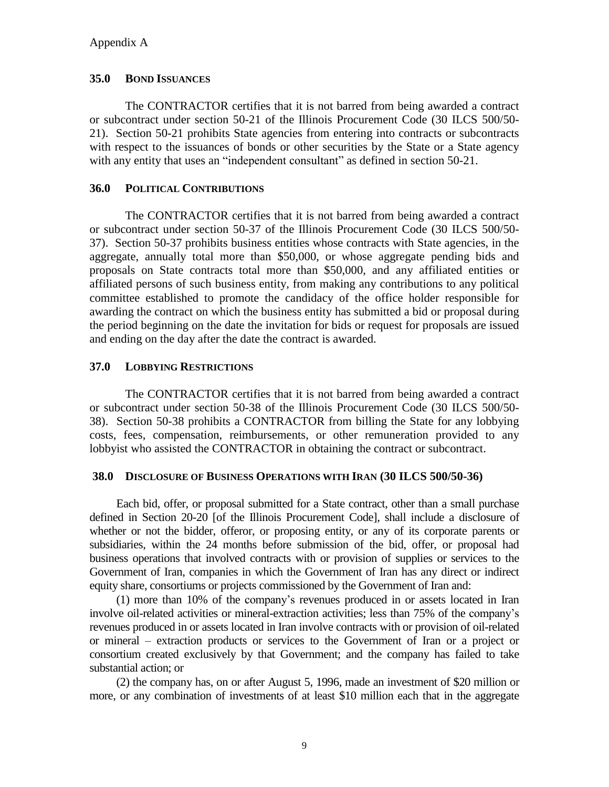### **35.0 BOND ISSUANCES**

The CONTRACTOR certifies that it is not barred from being awarded a contract or subcontract under section 50-21 of the Illinois Procurement Code (30 ILCS 500/50- 21). Section 50-21 prohibits State agencies from entering into contracts or subcontracts with respect to the issuances of bonds or other securities by the State or a State agency with any entity that uses an "independent consultant" as defined in section 50-21.

### **36.0 POLITICAL CONTRIBUTIONS**

The CONTRACTOR certifies that it is not barred from being awarded a contract or subcontract under section 50-37 of the Illinois Procurement Code (30 ILCS 500/50- 37). Section 50-37 prohibits business entities whose contracts with State agencies, in the aggregate, annually total more than \$50,000, or whose aggregate pending bids and proposals on State contracts total more than \$50,000, and any affiliated entities or affiliated persons of such business entity, from making any contributions to any political committee established to promote the candidacy of the office holder responsible for awarding the contract on which the business entity has submitted a bid or proposal during the period beginning on the date the invitation for bids or request for proposals are issued and ending on the day after the date the contract is awarded.

### **37.0 LOBBYING RESTRICTIONS**

The CONTRACTOR certifies that it is not barred from being awarded a contract or subcontract under section 50-38 of the Illinois Procurement Code (30 ILCS 500/50- 38). Section 50-38 prohibits a CONTRACTOR from billing the State for any lobbying costs, fees, compensation, reimbursements, or other remuneration provided to any lobbyist who assisted the CONTRACTOR in obtaining the contract or subcontract.

#### **38.0 DISCLOSURE OF BUSINESS OPERATIONS WITH IRAN (30 ILCS 500/50-36)**

Each bid, offer, or proposal submitted for a State contract, other than a small purchase defined in Section 20-20 [of the Illinois Procurement Code], shall include a disclosure of whether or not the bidder, offeror, or proposing entity, or any of its corporate parents or subsidiaries, within the 24 months before submission of the bid, offer, or proposal had business operations that involved contracts with or provision of supplies or services to the Government of Iran, companies in which the Government of Iran has any direct or indirect equity share, consortiums or projects commissioned by the Government of Iran and:

(1) more than 10% of the company's revenues produced in or assets located in Iran involve oil-related activities or mineral-extraction activities; less than 75% of the company's revenues produced in or assets located in Iran involve contracts with or provision of oil-related or mineral – extraction products or services to the Government of Iran or a project or consortium created exclusively by that Government; and the company has failed to take substantial action; or

(2) the company has, on or after August 5, 1996, made an investment of \$20 million or more, or any combination of investments of at least \$10 million each that in the aggregate